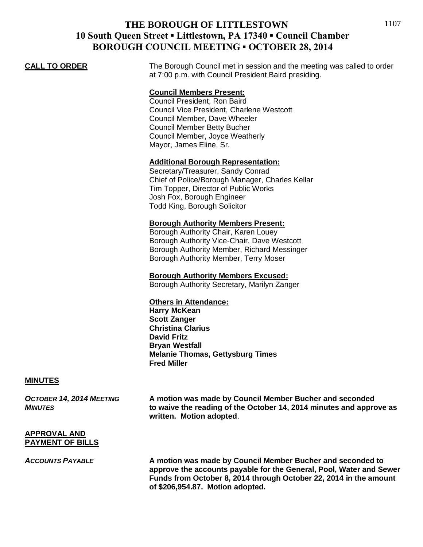**CALL TO ORDER** The Borough Council met in session and the meeting was called to order at 7:00 p.m. with Council President Baird presiding.

## **Council Members Present:**

Council President, Ron Baird Council Vice President, Charlene Westcott Council Member, Dave Wheeler Council Member Betty Bucher Council Member, Joyce Weatherly Mayor, James Eline, Sr.

## **Additional Borough Representation:**

Secretary/Treasurer, Sandy Conrad Chief of Police/Borough Manager, Charles Kellar Tim Topper, Director of Public Works Josh Fox, Borough Engineer Todd King, Borough Solicitor

#### **Borough Authority Members Present:**

Borough Authority Chair, Karen Louey Borough Authority Vice-Chair, Dave Westcott Borough Authority Member, Richard Messinger Borough Authority Member, Terry Moser

**Borough Authority Members Excused:** Borough Authority Secretary, Marilyn Zanger

## **Others in Attendance:**

**Harry McKean Scott Zanger Christina Clarius David Fritz Bryan Westfall Melanie Thomas, Gettysburg Times Fred Miller**

#### **MINUTES**

*OCTOBER 14, 2014 MEETING* **A motion was made by Council Member Bucher and seconded** *MINUTES* **to waive the reading of the October 14, 2014 minutes and approve as written. Motion adopted**.

### **APPROVAL AND PAYMENT OF BILLS**

*ACCOUNTS PAYABLE* **A motion was made by Council Member Bucher and seconded to approve the accounts payable for the General, Pool, Water and Sewer Funds from October 8, 2014 through October 22, 2014 in the amount of \$206,954.87. Motion adopted.**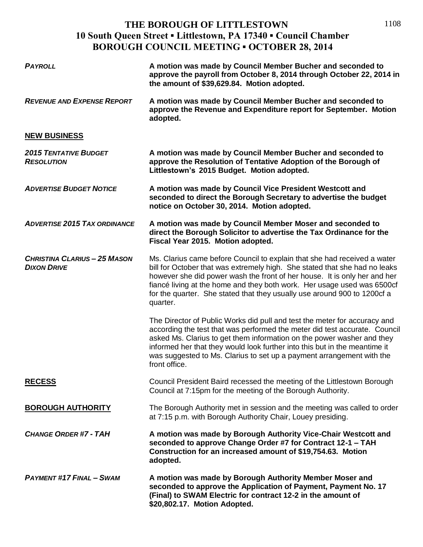| <b>PAYROLL</b>                                            | A motion was made by Council Member Bucher and seconded to<br>approve the payroll from October 8, 2014 through October 22, 2014 in<br>the amount of \$39,629.84. Motion adopted.                                                                                                                                                                                                                          |
|-----------------------------------------------------------|-----------------------------------------------------------------------------------------------------------------------------------------------------------------------------------------------------------------------------------------------------------------------------------------------------------------------------------------------------------------------------------------------------------|
| <b>REVENUE AND EXPENSE REPORT</b>                         | A motion was made by Council Member Bucher and seconded to<br>approve the Revenue and Expenditure report for September. Motion<br>adopted.                                                                                                                                                                                                                                                                |
| <b>NEW BUSINESS</b>                                       |                                                                                                                                                                                                                                                                                                                                                                                                           |
| <b>2015 TENTATIVE BUDGET</b><br><b>RESOLUTION</b>         | A motion was made by Council Member Bucher and seconded to<br>approve the Resolution of Tentative Adoption of the Borough of<br>Littlestown's 2015 Budget. Motion adopted.                                                                                                                                                                                                                                |
| <b>ADVERTISE BUDGET NOTICE</b>                            | A motion was made by Council Vice President Westcott and<br>seconded to direct the Borough Secretary to advertise the budget<br>notice on October 30, 2014. Motion adopted.                                                                                                                                                                                                                               |
| <b>ADVERTISE 2015 TAX ORDINANCE</b>                       | A motion was made by Council Member Moser and seconded to<br>direct the Borough Solicitor to advertise the Tax Ordinance for the<br>Fiscal Year 2015. Motion adopted.                                                                                                                                                                                                                                     |
| <b>CHRISTINA CLARIUS - 25 MASON</b><br><b>DIXON DRIVE</b> | Ms. Clarius came before Council to explain that she had received a water<br>bill for October that was extremely high. She stated that she had no leaks<br>however she did power wash the front of her house. It is only her and her<br>fiancé living at the home and they both work. Her usage used was 6500cf<br>for the quarter. She stated that they usually use around 900 to 1200cf a<br>quarter.    |
|                                                           | The Director of Public Works did pull and test the meter for accuracy and<br>according the test that was performed the meter did test accurate. Council<br>asked Ms. Clarius to get them information on the power washer and they<br>informed her that they would look further into this but in the meantime it<br>was suggested to Ms. Clarius to set up a payment arrangement with the<br>front office. |
| <b>RECESS</b>                                             | Council President Baird recessed the meeting of the Littlestown Borough<br>Council at 7:15pm for the meeting of the Borough Authority.                                                                                                                                                                                                                                                                    |
| <b>BOROUGH AUTHORITY</b>                                  | The Borough Authority met in session and the meeting was called to order<br>at 7:15 p.m. with Borough Authority Chair, Louey presiding.                                                                                                                                                                                                                                                                   |
| <b>CHANGE ORDER #7 - TAH</b>                              | A motion was made by Borough Authority Vice-Chair Westcott and<br>seconded to approve Change Order #7 for Contract 12-1 - TAH<br>Construction for an increased amount of \$19,754.63. Motion<br>adopted.                                                                                                                                                                                                  |
| <b>PAYMENT #17 FINAL - SWAM</b>                           | A motion was made by Borough Authority Member Moser and<br>seconded to approve the Application of Payment, Payment No. 17<br>(Final) to SWAM Electric for contract 12-2 in the amount of<br>\$20,802.17. Motion Adopted.                                                                                                                                                                                  |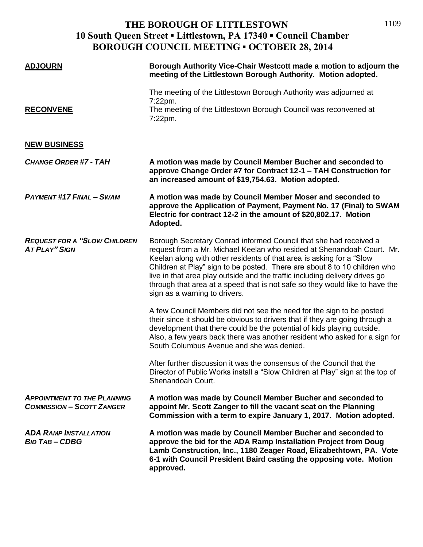| <b>ADJOURN</b>                                                         | Borough Authority Vice-Chair Westcott made a motion to adjourn the<br>meeting of the Littlestown Borough Authority. Motion adopted.                                                                                                                                                                                                                                                                                                                                                              |
|------------------------------------------------------------------------|--------------------------------------------------------------------------------------------------------------------------------------------------------------------------------------------------------------------------------------------------------------------------------------------------------------------------------------------------------------------------------------------------------------------------------------------------------------------------------------------------|
| <b>RECONVENE</b>                                                       | The meeting of the Littlestown Borough Authority was adjourned at<br>7:22pm.<br>The meeting of the Littlestown Borough Council was reconvened at<br>7:22pm.                                                                                                                                                                                                                                                                                                                                      |
| <b>NEW BUSINESS</b>                                                    |                                                                                                                                                                                                                                                                                                                                                                                                                                                                                                  |
| <b>CHANGE ORDER #7 - TAH</b>                                           | A motion was made by Council Member Bucher and seconded to<br>approve Change Order #7 for Contract 12-1 - TAH Construction for<br>an increased amount of \$19,754.63. Motion adopted.                                                                                                                                                                                                                                                                                                            |
| <b>PAYMENT #17 FINAL - SWAM</b>                                        | A motion was made by Council Member Moser and seconded to<br>approve the Application of Payment, Payment No. 17 (Final) to SWAM<br>Electric for contract 12-2 in the amount of \$20,802.17. Motion<br>Adopted.                                                                                                                                                                                                                                                                                   |
| <b>REQUEST FOR A "SLOW CHILDREN</b><br><b>AT PLAY" SIGN</b>            | Borough Secretary Conrad informed Council that she had received a<br>request from a Mr. Michael Keelan who resided at Shenandoah Court. Mr.<br>Keelan along with other residents of that area is asking for a "Slow<br>Children at Play" sign to be posted. There are about 8 to 10 children who<br>live in that area play outside and the traffic including delivery drives go<br>through that area at a speed that is not safe so they would like to have the<br>sign as a warning to drivers. |
|                                                                        | A few Council Members did not see the need for the sign to be posted<br>their since it should be obvious to drivers that if they are going through a<br>development that there could be the potential of kids playing outside.<br>Also, a few years back there was another resident who asked for a sign for<br>South Columbus Avenue and she was denied.                                                                                                                                        |
|                                                                        | After further discussion it was the consensus of the Council that the<br>Director of Public Works install a "Slow Children at Play" sign at the top of<br>Shenandoah Court.                                                                                                                                                                                                                                                                                                                      |
| <b>APPOINTMENT TO THE PLANNING</b><br><b>COMMISSION - SCOTT ZANGER</b> | A motion was made by Council Member Bucher and seconded to<br>appoint Mr. Scott Zanger to fill the vacant seat on the Planning<br>Commission with a term to expire January 1, 2017. Motion adopted.                                                                                                                                                                                                                                                                                              |
| <b>ADA RAMP INSTALLATION</b><br><b>BID TAB-CDBG</b>                    | A motion was made by Council Member Bucher and seconded to<br>approve the bid for the ADA Ramp Installation Project from Doug<br>Lamb Construction, Inc., 1180 Zeager Road, Elizabethtown, PA. Vote<br>6-1 with Council President Baird casting the opposing vote. Motion<br>approved.                                                                                                                                                                                                           |